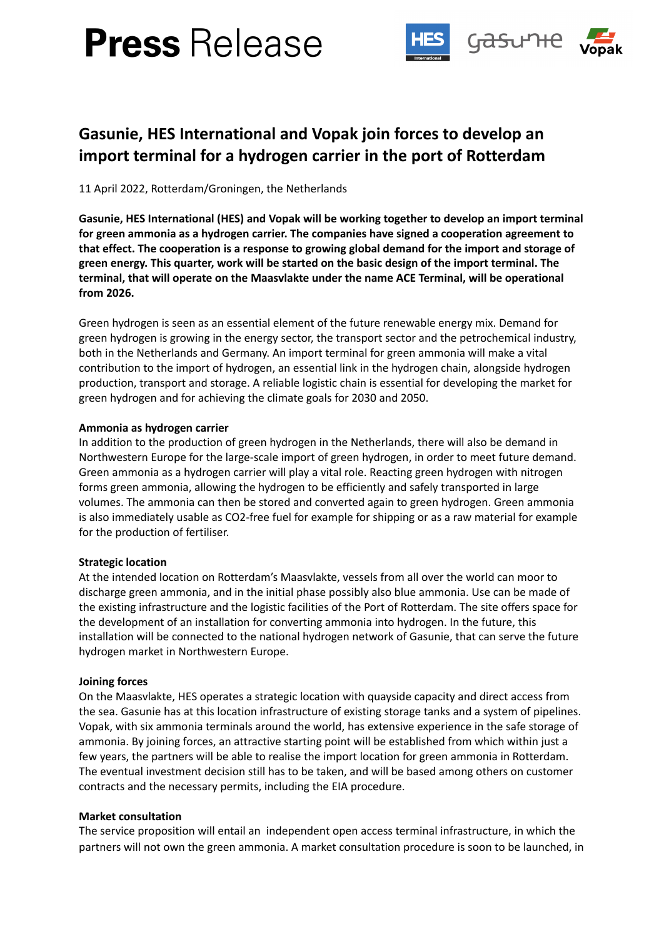# **Press** Release



# **Gasunie, HES International and Vopak join forces to develop an import terminal for a hydrogen carrier in the port of Rotterdam**

11 April 2022, Rotterdam/Groningen, the Netherlands

**Gasunie, HES International (HES) and Vopak will be working together to develop an import terminal for green ammonia as a hydrogen carrier. The companies have signed a cooperation agreement to that effect. The cooperation is a response to growing global demand for the import and storage of green energy. This quarter, work will be started on the basic design of the import terminal. The terminal, that will operate on the Maasvlakte under the name ACE Terminal, will be operational from 2026.**

Green hydrogen is seen as an essential element of the future renewable energy mix. Demand for green hydrogen is growing in the energy sector, the transport sector and the petrochemical industry, both in the Netherlands and Germany. An import terminal for green ammonia will make a vital contribution to the import of hydrogen, an essential link in the hydrogen chain, alongside hydrogen production, transport and storage. A reliable logistic chain is essential for developing the market for green hydrogen and for achieving the climate goals for 2030 and 2050.

# **Ammonia as hydrogen carrier**

In addition to the production of green hydrogen in the Netherlands, there will also be demand in Northwestern Europe for the large-scale import of green hydrogen, in order to meet future demand. Green ammonia as a hydrogen carrier will play a vital role. Reacting green hydrogen with nitrogen forms green ammonia, allowing the hydrogen to be efficiently and safely transported in large volumes. The ammonia can then be stored and converted again to green hydrogen. Green ammonia is also immediately usable as CO2-free fuel for example for shipping or as a raw material for example for the production of fertiliser.

# **Strategic location**

At the intended location on Rotterdam's Maasvlakte, vessels from all over the world can moor to discharge green ammonia, and in the initial phase possibly also blue ammonia. Use can be made of the existing infrastructure and the logistic facilities of the Port of Rotterdam. The site offers space for the development of an installation for converting ammonia into hydrogen. In the future, this installation will be connected to the national hydrogen network of Gasunie, that can serve the future hydrogen market in Northwestern Europe.

# **Joining forces**

On the Maasvlakte, HES operates a strategic location with quayside capacity and direct access from the sea. Gasunie has at this location infrastructure of existing storage tanks and a system of pipelines. Vopak, with six ammonia terminals around the world, has extensive experience in the safe storage of ammonia. By joining forces, an attractive starting point will be established from which within just a few years, the partners will be able to realise the import location for green ammonia in Rotterdam. The eventual investment decision still has to be taken, and will be based among others on customer contracts and the necessary permits, including the EIA procedure.

# **Market consultation**

The service proposition will entail an independent open access terminal infrastructure, in which the partners will not own the green ammonia. A market consultation procedure is soon to be launched, in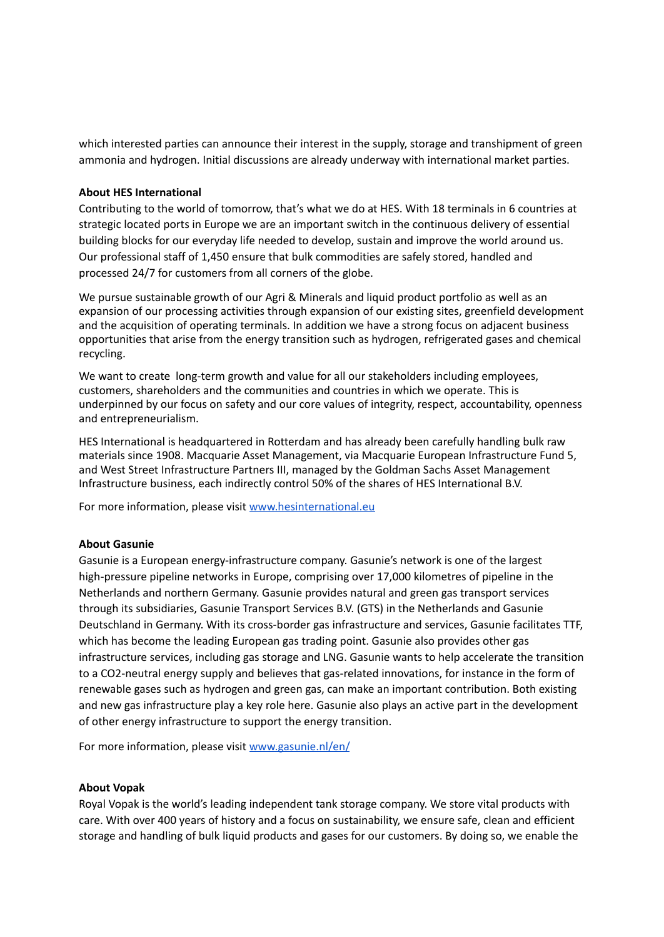which interested parties can announce their interest in the supply, storage and transhipment of green ammonia and hydrogen. Initial discussions are already underway with international market parties.

#### **About HES International**

Contributing to the world of tomorrow, that's what we do at HES. With 18 terminals in 6 countries at strategic located ports in Europe we are an important switch in the continuous delivery of essential building blocks for our everyday life needed to develop, sustain and improve the world around us. Our professional staff of 1,450 ensure that bulk commodities are safely stored, handled and processed 24/7 for customers from all corners of the globe.

We pursue sustainable growth of our Agri & Minerals and liquid product portfolio as well as an expansion of our processing activities through expansion of our existing sites, greenfield development and the acquisition of operating terminals. In addition we have a strong focus on adjacent business opportunities that arise from the energy transition such as hydrogen, refrigerated gases and chemical recycling.

We want to create long-term growth and value for all our stakeholders including employees, customers, shareholders and the communities and countries in which we operate. This is underpinned by our focus on safety and our core values of integrity, respect, accountability, openness and entrepreneurialism.

HES International is headquartered in Rotterdam and has already been carefully handling bulk raw materials since 1908. Macquarie Asset Management, via Macquarie European Infrastructure Fund 5, and West Street Infrastructure Partners III, managed by the Goldman Sachs Asset Management Infrastructure business, each indirectly control 50% of the shares of HES International B.V.

For more information, please visit [www.hesinternational.eu](http://www.hesinternational.eu/)

#### **About Gasunie**

Gasunie is a European energy-infrastructure company. Gasunie's network is one of the largest high-pressure pipeline networks in Europe, comprising over 17,000 kilometres of pipeline in the Netherlands and northern Germany. Gasunie provides natural and green gas transport services through its subsidiaries, Gasunie Transport Services B.V. (GTS) in the Netherlands and Gasunie Deutschland in Germany. With its cross-border gas infrastructure and services, Gasunie facilitates TTF, which has become the leading European gas trading point. Gasunie also provides other gas infrastructure services, including gas storage and LNG. Gasunie wants to help accelerate the transition to a CO2-neutral energy supply and believes that gas-related innovations, for instance in the form of renewable gases such as hydrogen and green gas, can make an important contribution. Both existing and new gas infrastructure play a key role here. Gasunie also plays an active part in the development of other energy infrastructure to support the energy transition.

For more information, please visit [www.gasunie.nl/en/](http://www.gasunie.nl/en/)

#### **About Vopak**

Royal Vopak is the world's leading independent tank storage company. We store vital products with care. With over 400 years of history and a focus on sustainability, we ensure safe, clean and efficient storage and handling of bulk liquid products and gases for our customers. By doing so, we enable the